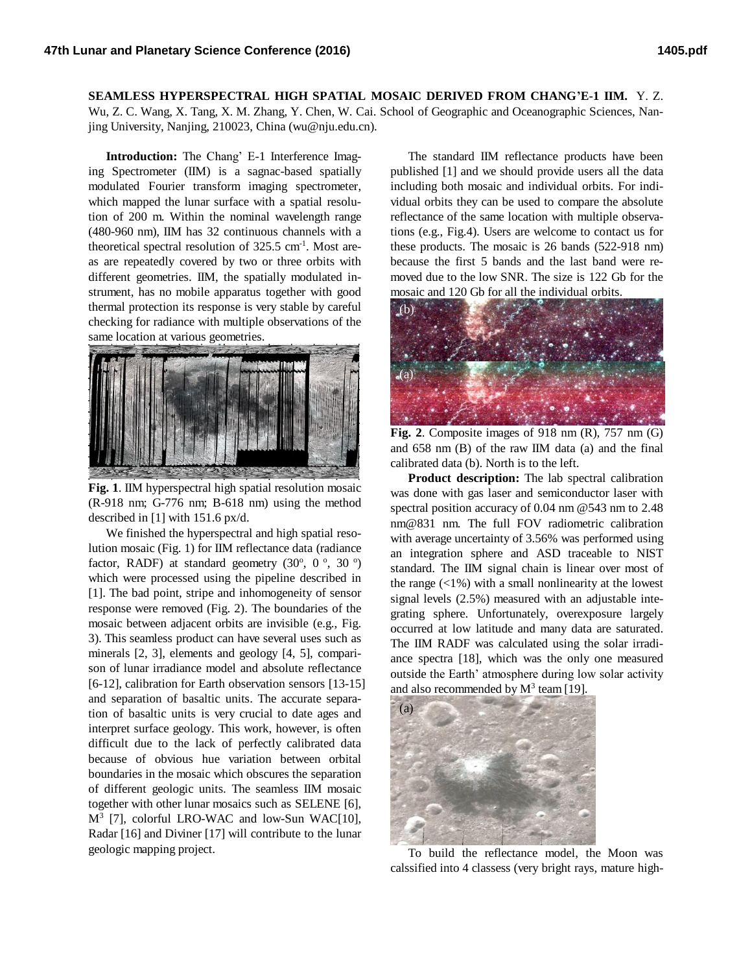**SEAMLESS HYPERSPECTRAL HIGH SPATIAL MOSAIC DERIVED FROM CHANG'E-1 IIM.** Y. Z. Wu, Z. C. Wang, X. Tang, X. M. Zhang, Y. Chen, W. Cai. School of Geographic and Oceanographic Sciences, Nanjing University, Nanjing, 210023, China (wu@nju.edu.cn).

**Introduction:** The Chang' E-1 Interference Imaging Spectrometer (IIM) is a sagnac-based spatially modulated Fourier transform imaging spectrometer, which mapped the lunar surface with a spatial resolution of 200 m. Within the nominal wavelength range (480-960 nm), IIM has 32 continuous channels with a theoretical spectral resolution of  $325.5 \text{ cm}^{-1}$ . Most areas are repeatedly covered by two or three orbits with different geometries. IIM, the spatially modulated instrument, has no mobile apparatus together with good thermal protection its response is very stable by careful checking for radiance with multiple observations of the same location at various geometries.



**Fig. 1**. IIM hyperspectral high spatial resolution mosaic (R-918 nm; G-776 nm; B-618 nm) using the method described in [1] with 151.6 px/d.

We finished the hyperspectral and high spatial resolution mosaic (Fig. 1) for IIM reflectance data (radiance factor, RADF) at standard geometry  $(30^{\circ}, 0^{\circ}, 30^{\circ})$ which were processed using the pipeline described in [1]. The bad point, stripe and inhomogeneity of sensor response were removed (Fig. 2). The boundaries of the mosaic between adjacent orbits are invisible (e.g., Fig. 3). This seamless product can have several uses such as minerals [2, 3], elements and geology [4, 5], comparison of lunar irradiance model and absolute reflectance [6-12], calibration for Earth observation sensors [13-15] and separation of basaltic units. The accurate separation of basaltic units is very crucial to date ages and interpret surface geology. This work, however, is often difficult due to the lack of perfectly calibrated data because of obvious hue variation between orbital boundaries in the mosaic which obscures the separation of different geologic units. The seamless IIM mosaic together with other lunar mosaics such as SELENE [6], M<sup>3</sup> [7], colorful LRO-WAC and low-Sun WAC[10], Radar [16] and Diviner [17] will contribute to the lunar geologic mapping project.

The standard IIM reflectance products have been published [1] and we should provide users all the data including both mosaic and individual orbits. For individual orbits they can be used to compare the absolute reflectance of the same location with multiple observations (e.g., Fig.4). Users are welcome to contact us for these products. The mosaic is 26 bands (522-918 nm) because the first 5 bands and the last band were removed due to the low SNR. The size is 122 Gb for the mosaic and 120 Gb for all the individual orbits.



**Fig. 2**. Composite images of 918 nm (R), 757 nm (G) and 658 nm (B) of the raw IIM data (a) and the final calibrated data (b). North is to the left.

**Product description:** The lab spectral calibration was done with gas laser and semiconductor laser with spectral position accuracy of 0.04 nm @543 nm to 2.48 nm@831 nm. The full FOV radiometric calibration with average uncertainty of 3.56% was performed using an integration sphere and ASD traceable to NIST standard. The IIM signal chain is linear over most of the range  $\left($  <1%) with a small nonlinearity at the lowest signal levels (2.5%) measured with an adjustable integrating sphere. Unfortunately, overexposure largely occurred at low latitude and many data are saturated. The IIM RADF was calculated using the solar irradiance spectra [18], which was the only one measured outside the Earth' atmosphere during low solar activity and also recommended by  $M^3$  team [19].



To build the reflectance model, the Moon was calssified into 4 classess (very bright rays, mature high-